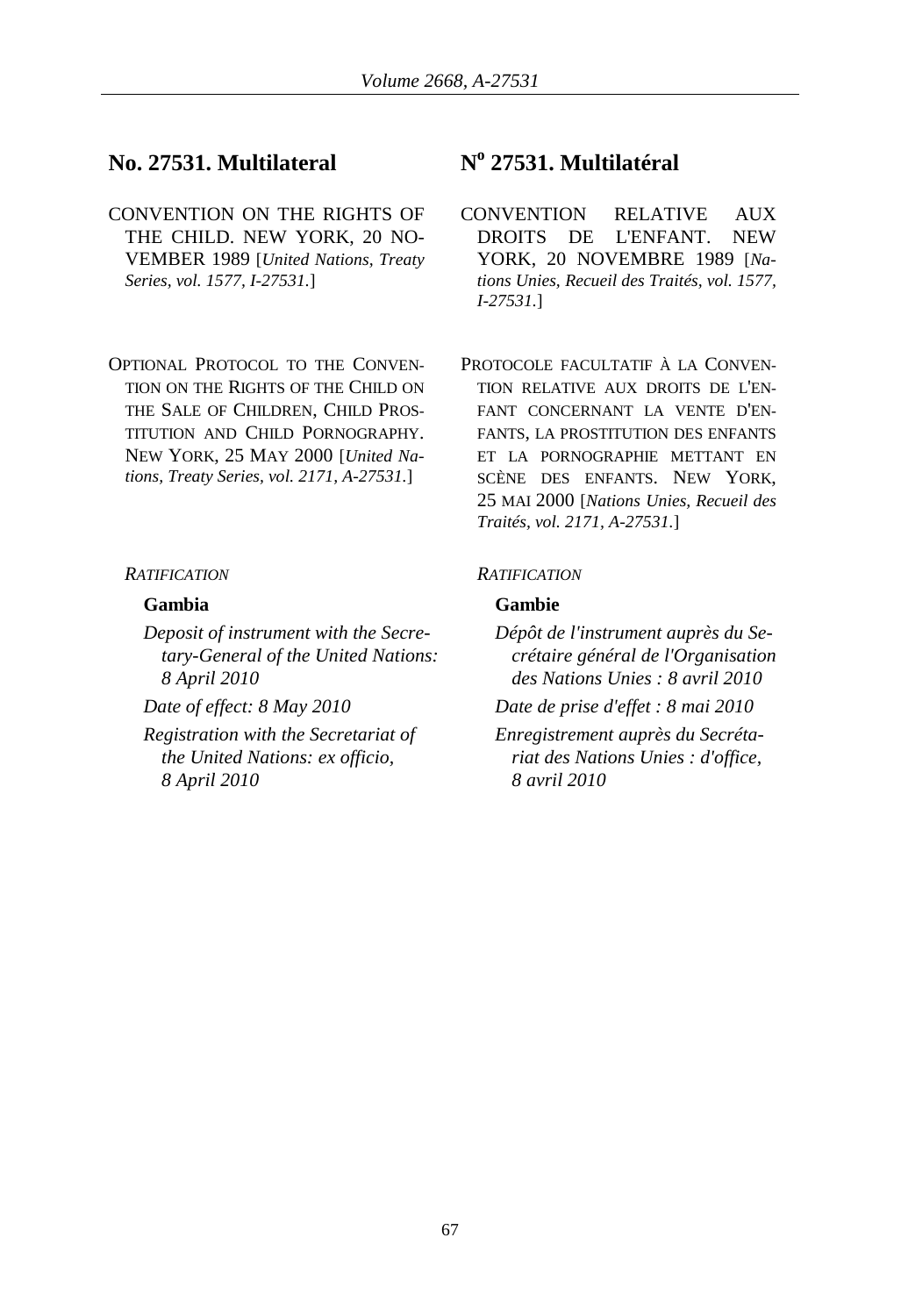# **No. 27531. Multilateral No 27531. Multilatéral**

- CONVENTION ON THE RIGHTS OF THE CHILD. NEW YORK, 20 NO-VEMBER 1989 [*United Nations, Treaty Series, vol. 1577, I-27531.*]
- OPTIONAL PROTOCOL TO THE CONVEN-TION ON THE RIGHTS OF THE CHILD ON THE SALE OF CHILDREN, CHILD PROS-TITUTION AND CHILD PORNOGRAPHY. NEW YORK, 25 MAY 2000 [*United Nations, Treaty Series, vol. 2171, A-27531.*]

# *RATIFICATION RATIFICATION*

## **Gambia Gambie**

*Deposit of instrument with the Secretary-General of the United Nations: 8 April 2010*

*Registration with the Secretariat of the United Nations: ex officio, 8 April 2010*

- CONVENTION RELATIVE AUX DROITS DE L'ENFANT. NEW YORK, 20 NOVEMBRE 1989 [*Nations Unies, Recueil des Traités, vol. 1577, I-27531.*]
- PROTOCOLE FACULTATIF À LA CONVEN-TION RELATIVE AUX DROITS DE L'EN-FANT CONCERNANT LA VENTE D'EN-FANTS, LA PROSTITUTION DES ENFANTS ET LA PORNOGRAPHIE METTANT EN SCÈNE DES ENFANTS. NEW YORK, 25 MAI 2000 [*Nations Unies, Recueil des Traités, vol. 2171, A-27531.*]

*Dépôt de l'instrument auprès du Secrétaire général de l'Organisation des Nations Unies : 8 avril 2010*

*Date of effect: 8 May 2010 Date de prise d'effet : 8 mai 2010*

*Enregistrement auprès du Secrétariat des Nations Unies : d'office, 8 avril 2010*